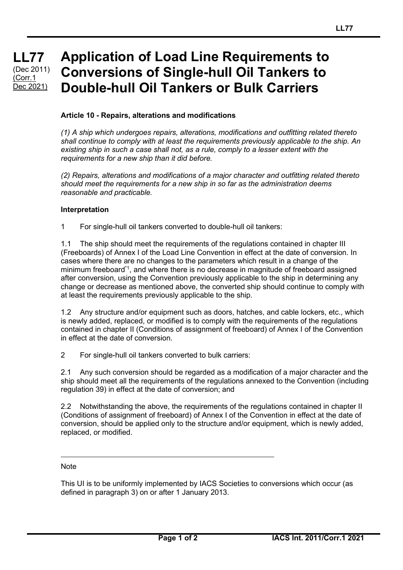## **LL77 LL77 LL77** (Dec 2011)  $(Corr.1)$ Dec 2021)

# **Application of Load Line Requirements to Conversions of Single-hull Oil Tankers to Double-hull Oil Tankers or Bulk Carriers**

## **Article 10 - Repairs, alterations and modifications**

*(1) A ship which undergoes repairs, alterations, modifications and outfitting related thereto shall continue to comply with at least the requirements previously applicable to the ship. An existing ship in such a case shall not, as a rule, comply to a lesser extent with the requirements for a new ship than it did before.*

*(2) Repairs, alterations and modifications of a major character and outfitting related thereto should meet the requirements for a new ship in so far as the administration deems reasonable and practicable.*

### **Interpretation**

1 For single-hull oil tankers converted to double-hull oil tankers:

1.1 The ship should meet the requirements of the regulations contained in chapter III (Freeboards) of Annex I of the Load Line Convention in effect at the date of conversion. In cases where there are no changes to the parameters which result in a change of the minimum freeboard\*1, and where there is no decrease in magnitude of freeboard assigned after conversion, using the Convention previously applicable to the ship in determining any change or decrease as mentioned above, the converted ship should continue to comply with at least the requirements previously applicable to the ship.

1.2 Any structure and/or equipment such as doors, hatches, and cable lockers, etc., which is newly added, replaced, or modified is to comply with the requirements of the regulations contained in chapter II (Conditions of assignment of freeboard) of Annex I of the Convention in effect at the date of conversion.

2 For single-hull oil tankers converted to bulk carriers:

2.1 Any such conversion should be regarded as a modification of a major character and the ship should meet all the requirements of the regulations annexed to the Convention (including regulation 39) in effect at the date of conversion; and

2.2 Notwithstanding the above, the requirements of the regulations contained in chapter II (Conditions of assignment of freeboard) of Annex I of the Convention in effect at the date of conversion, should be applied only to the structure and/or equipment, which is newly added, replaced, or modified.

### **Note**

This UI is to be uniformly implemented by IACS Societies to conversions which occur (as defined in paragraph 3) on or after 1 January 2013.